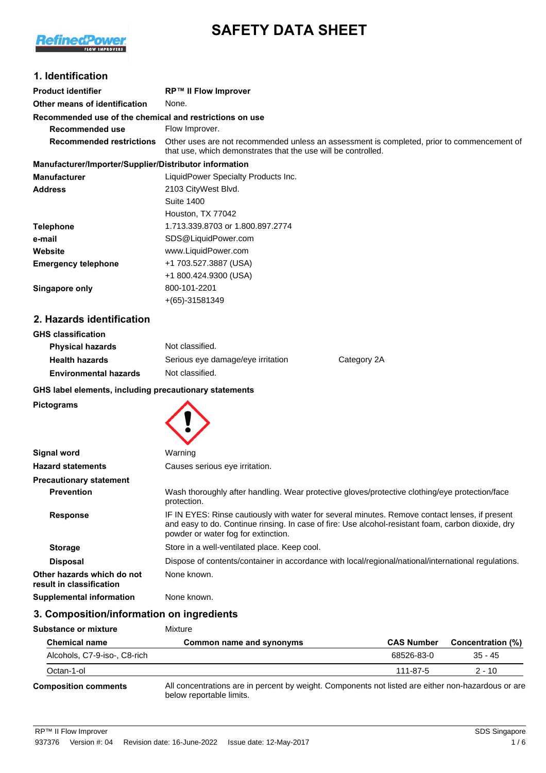

# **SAFETY DATA SHEET**

### **1. Identification**

| <b>Product identifier</b>                               | <b>RP™ II Flow Improver</b>                                                                                                                                 |
|---------------------------------------------------------|-------------------------------------------------------------------------------------------------------------------------------------------------------------|
| Other means of identification                           | None.                                                                                                                                                       |
| Recommended use of the chemical and restrictions on use |                                                                                                                                                             |
| Recommended use                                         | Flow Improver.                                                                                                                                              |
| <b>Recommended restrictions</b>                         | Other uses are not recommended unless an assessment is completed, prior to commencement of<br>that use, which demonstrates that the use will be controlled. |
| Manufacturer/Importer/Supplier/Distributor information  |                                                                                                                                                             |
| Manufacturer                                            | LiquidPower Specialty Products Inc.                                                                                                                         |
| Address                                                 | 2103 CityWest Blvd.                                                                                                                                         |
|                                                         | Suite 1400                                                                                                                                                  |
|                                                         | Houston, TX 77042                                                                                                                                           |
| Telephone                                               | 1.713.339.8703 or 1.800.897.2774                                                                                                                            |
| e-mail                                                  | SDS@LiquidPower.com                                                                                                                                         |

| .                          |                       |
|----------------------------|-----------------------|
| Website                    | www.LiquidPower.com   |
| <b>Emergency telephone</b> | +1 703.527.3887 (USA) |
|                            | +1 800.424.9300 (USA) |
| Singapore only             | 800-101-2201          |
|                            | $+(65)-31581349$      |
|                            |                       |

# **2. Hazards identification**

| <b>GHS classification</b>    |                                   |             |
|------------------------------|-----------------------------------|-------------|
| <b>Physical hazards</b>      | Not classified.                   |             |
| <b>Health hazards</b>        | Serious eye damage/eye irritation | Category 2A |
| <b>Environmental hazards</b> | Not classified.                   |             |
|                              |                                   |             |

### **GHS label elements, including precautionary statements**

#### **Pictograms**

| Signal word                                            | Warning                                                                                                                                                                                                                                     |
|--------------------------------------------------------|---------------------------------------------------------------------------------------------------------------------------------------------------------------------------------------------------------------------------------------------|
| <b>Hazard statements</b>                               | Causes serious eye irritation.                                                                                                                                                                                                              |
| <b>Precautionary statement</b>                         |                                                                                                                                                                                                                                             |
| <b>Prevention</b>                                      | Wash thoroughly after handling. Wear protective gloves/protective clothing/eye protection/face<br>protection.                                                                                                                               |
| <b>Response</b>                                        | IF IN EYES: Rinse cautiously with water for several minutes. Remove contact lenses, if present<br>and easy to do. Continue rinsing. In case of fire: Use alcohol-resistant foam, carbon dioxide, dry<br>powder or water fog for extinction. |
| <b>Storage</b>                                         | Store in a well-ventilated place. Keep cool.                                                                                                                                                                                                |
| <b>Disposal</b>                                        | Dispose of contents/container in accordance with local/regional/national/international regulations.                                                                                                                                         |
| Other hazards which do not<br>result in classification | None known.                                                                                                                                                                                                                                 |
| Supplemental information                               | None known.                                                                                                                                                                                                                                 |

### **3. Composition/information on ingredients**

| Substance or mixture         | Mixture                                                                                                                        |                   |                   |
|------------------------------|--------------------------------------------------------------------------------------------------------------------------------|-------------------|-------------------|
| <b>Chemical name</b>         | Common name and synonyms                                                                                                       | <b>CAS Number</b> | Concentration (%) |
| Alcohols, C7-9-iso-, C8-rich |                                                                                                                                | 68526-83-0        | 35 - 45           |
| Octan-1-ol                   |                                                                                                                                | 111-87-5          | $2 - 10$          |
| <b>Composition comments</b>  | All concentrations are in percent by weight. Components not listed are either non-hazardous or are<br>below reportable limits. |                   |                   |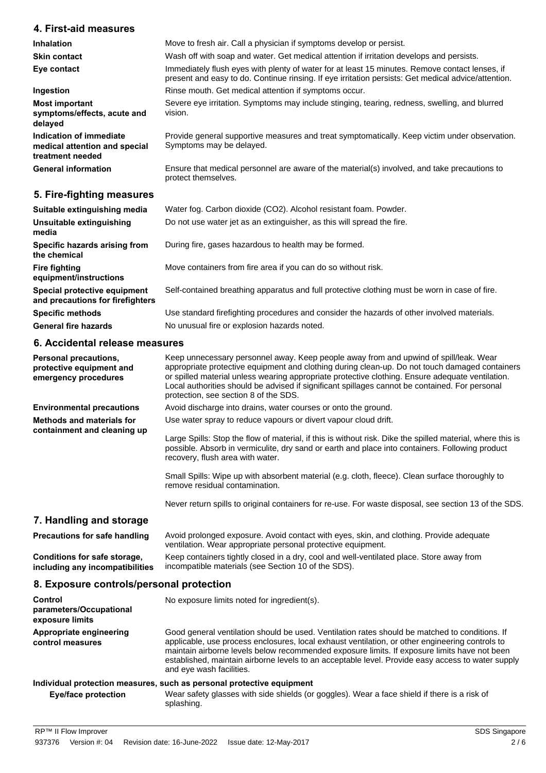### **4. First-aid measures**

| <b>Inhalation</b>                                                            | Move to fresh air. Call a physician if symptoms develop or persist.                                                                                                                                   |
|------------------------------------------------------------------------------|-------------------------------------------------------------------------------------------------------------------------------------------------------------------------------------------------------|
| <b>Skin contact</b>                                                          | Wash off with soap and water. Get medical attention if irritation develops and persists.                                                                                                              |
| Eye contact                                                                  | Immediately flush eyes with plenty of water for at least 15 minutes. Remove contact lenses, if<br>present and easy to do. Continue rinsing. If eye irritation persists: Get medical advice/attention. |
| Ingestion                                                                    | Rinse mouth. Get medical attention if symptoms occur.                                                                                                                                                 |
| <b>Most important</b><br>symptoms/effects, acute and<br>delayed              | Severe eye irritation. Symptoms may include stinging, tearing, redness, swelling, and blurred<br>vision.                                                                                              |
| Indication of immediate<br>medical attention and special<br>treatment needed | Provide general supportive measures and treat symptomatically. Keep victim under observation.<br>Symptoms may be delayed.                                                                             |
| <b>General information</b>                                                   | Ensure that medical personnel are aware of the material(s) involved, and take precautions to<br>protect themselves.                                                                                   |
| 5. Fire-fighting measures                                                    |                                                                                                                                                                                                       |

| Suitable extinguishing media                                     | Water fog. Carbon dioxide (CO2). Alcohol resistant foam. Powder.                              |
|------------------------------------------------------------------|-----------------------------------------------------------------------------------------------|
| Unsuitable extinguishing<br>media                                | Do not use water jet as an extinguisher, as this will spread the fire.                        |
| Specific hazards arising from<br>the chemical                    | During fire, gases hazardous to health may be formed.                                         |
| <b>Fire fighting</b><br>equipment/instructions                   | Move containers from fire area if you can do so without risk.                                 |
| Special protective equipment<br>and precautions for firefighters | Self-contained breathing apparatus and full protective clothing must be worn in case of fire. |
| <b>Specific methods</b>                                          | Use standard firefighting procedures and consider the hazards of other involved materials.    |
| <b>General fire hazards</b>                                      | No unusual fire or explosion hazards noted.                                                   |
| 6 Accidental release measures                                    |                                                                                               |

### **6. Accidental release measures**

| Personal precautions,<br>protective equipment and<br>emergency procedures | Keep unnecessary personnel away. Keep people away from and upwind of spill/leak. Wear<br>appropriate protective equipment and clothing during clean-up. Do not touch damaged containers<br>or spilled material unless wearing appropriate protective clothing. Ensure adequate ventilation.<br>Local authorities should be advised if significant spillages cannot be contained. For personal<br>protection, see section 8 of the SDS. |
|---------------------------------------------------------------------------|----------------------------------------------------------------------------------------------------------------------------------------------------------------------------------------------------------------------------------------------------------------------------------------------------------------------------------------------------------------------------------------------------------------------------------------|
| <b>Environmental precautions</b>                                          | Avoid discharge into drains, water courses or onto the ground.                                                                                                                                                                                                                                                                                                                                                                         |
| <b>Methods and materials for</b><br>containment and cleaning up           | Use water spray to reduce vapours or divert vapour cloud drift.                                                                                                                                                                                                                                                                                                                                                                        |
|                                                                           | Large Spills: Stop the flow of material, if this is without risk. Dike the spilled material, where this is<br>possible. Absorb in vermiculite, dry sand or earth and place into containers. Following product<br>recovery, flush area with water.                                                                                                                                                                                      |
|                                                                           | Small Spills: Wipe up with absorbent material (e.g. cloth, fleece). Clean surface thoroughly to<br>remove residual contamination.                                                                                                                                                                                                                                                                                                      |
|                                                                           | Never return spills to original containers for re-use. For waste disposal, see section 13 of the SDS.                                                                                                                                                                                                                                                                                                                                  |
| 7. Handling and storage                                                   |                                                                                                                                                                                                                                                                                                                                                                                                                                        |
| Precautions for safe handling                                             | Avoid prolonged exposure. Avoid contact with eyes, skin, and clothing. Provide adequate<br>ventilation. Wear appropriate personal protective equipment.                                                                                                                                                                                                                                                                                |
| Conditions for safe storage,<br>including any incompatibilities           | Keep containers tightly closed in a dry, cool and well-ventilated place. Store away from<br>incompatible materials (see Section 10 of the SDS).                                                                                                                                                                                                                                                                                        |

# **8. Exposure controls/personal protection**

| Control<br>parameters/Occupational<br>exposure limits | No exposure limits noted for ingredient(s).                                                                                                                                                                                                                                                                                                                                                                                        |  |  |
|-------------------------------------------------------|------------------------------------------------------------------------------------------------------------------------------------------------------------------------------------------------------------------------------------------------------------------------------------------------------------------------------------------------------------------------------------------------------------------------------------|--|--|
| Appropriate engineering<br>control measures           | Good general ventilation should be used. Ventilation rates should be matched to conditions. If<br>applicable, use process enclosures, local exhaust ventilation, or other engineering controls to<br>maintain airborne levels below recommended exposure limits. If exposure limits have not been<br>established, maintain airborne levels to an acceptable level. Provide easy access to water supply<br>and eye wash facilities. |  |  |
|                                                       | Individual protection measures, such as personal protective equipment                                                                                                                                                                                                                                                                                                                                                              |  |  |
| Eye/face protection                                   | Wear safety glasses with side shields (or goggles). Wear a face shield if there is a risk of                                                                                                                                                                                                                                                                                                                                       |  |  |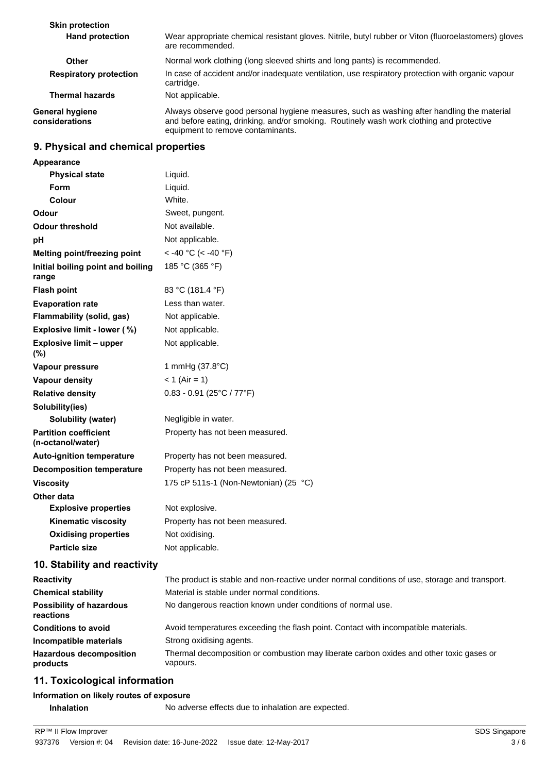| <b>Skin protection</b>                   |                                                                                                                                                                                                                             |
|------------------------------------------|-----------------------------------------------------------------------------------------------------------------------------------------------------------------------------------------------------------------------------|
| <b>Hand protection</b>                   | Wear appropriate chemical resistant gloves. Nitrile, butyl rubber or Viton (fluoroelastomers) gloves<br>are recommended.                                                                                                    |
| Other                                    | Normal work clothing (long sleeved shirts and long pants) is recommended.                                                                                                                                                   |
| <b>Respiratory protection</b>            | In case of accident and/or inadequate ventilation, use respiratory protection with organic vapour<br>cartridge.                                                                                                             |
| <b>Thermal hazards</b>                   | Not applicable.                                                                                                                                                                                                             |
| <b>General hygiene</b><br>considerations | Always observe good personal hygiene measures, such as washing after handling the material<br>and before eating, drinking, and/or smoking. Routinely wash work clothing and protective<br>equipment to remove contaminants. |

### **9. Physical and chemical properties**

| Appearance                                        |                                                                                               |
|---------------------------------------------------|-----------------------------------------------------------------------------------------------|
| <b>Physical state</b>                             | Liquid.                                                                                       |
| Form                                              | Liquid.                                                                                       |
| Colour                                            | White.                                                                                        |
| Odour                                             | Sweet, pungent.                                                                               |
| Odour threshold                                   | Not available.                                                                                |
| рH                                                | Not applicable.                                                                               |
| Melting point/freezing point                      | < -40 °C (< -40 °F)                                                                           |
| Initial boiling point and boiling<br>range        | 185 °C (365 °F)                                                                               |
| <b>Flash point</b>                                | 83 °C (181.4 °F)                                                                              |
| <b>Evaporation rate</b>                           | Less than water.                                                                              |
| <b>Flammability (solid, gas)</b>                  | Not applicable.                                                                               |
| Explosive limit - lower (%)                       | Not applicable.                                                                               |
| <b>Explosive limit - upper</b><br>(%)             | Not applicable.                                                                               |
| Vapour pressure                                   | 1 mmHg (37.8°C)                                                                               |
| Vapour density                                    | $<$ 1 (Air = 1)                                                                               |
| <b>Relative density</b>                           | $0.83 - 0.91$ (25°C / 77°F)                                                                   |
| Solubility(ies)                                   |                                                                                               |
| Solubility (water)                                | Negligible in water.                                                                          |
| <b>Partition coefficient</b><br>(n-octanol/water) | Property has not been measured.                                                               |
| <b>Auto-ignition temperature</b>                  | Property has not been measured.                                                               |
| <b>Decomposition temperature</b>                  | Property has not been measured.                                                               |
| <b>Viscosity</b>                                  | 175 cP 511s-1 (Non-Newtonian) (25 °C)                                                         |
| Other data                                        |                                                                                               |
| <b>Explosive properties</b>                       | Not explosive.                                                                                |
| <b>Kinematic viscosity</b>                        | Property has not been measured.                                                               |
| <b>Oxidising properties</b>                       | Not oxidising.                                                                                |
| <b>Particle size</b>                              | Not applicable.                                                                               |
| 10. Stability and reactivity                      |                                                                                               |
| <b>Reactivity</b>                                 | The product is stable and non-reactive under normal conditions of use, storage and transport. |
| <b>Chemical stability</b>                         | Material is stable under normal conditions.                                                   |
| <b>Possibility of hazardous</b>                   |                                                                                               |

**Conditions to avoid** Avoid temperatures exceeding the flash point. Contact with incompatible materials. **Incompatible materials** Strong oxidising agents. Thermal decomposition or combustion may liberate carbon oxides and other toxic gases or vapours. **Hazardous decomposition products**

# **11. Toxicological information**

#### **Information on likely routes of exposure**

**Inhalation** No adverse effects due to inhalation are expected.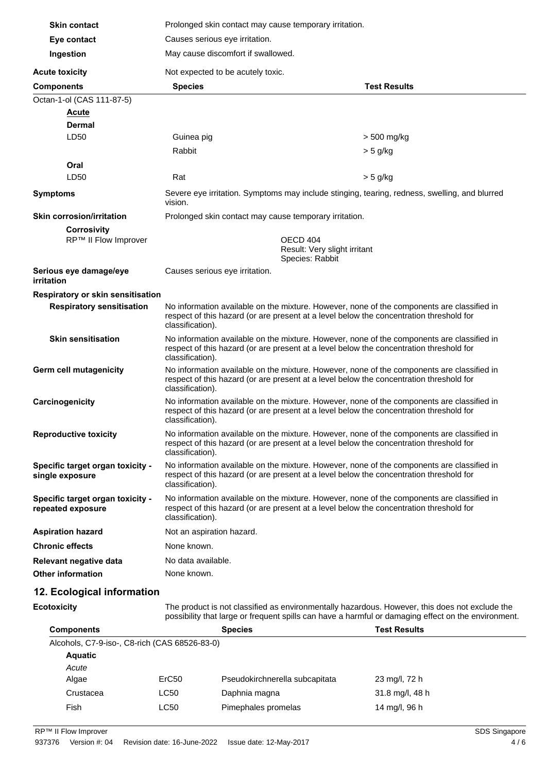| <b>Skin contact</b>                                   | Prolonged skin contact may cause temporary irritation.                                                                                                                                                    |                                                                                                                                                                                       |  |  |
|-------------------------------------------------------|-----------------------------------------------------------------------------------------------------------------------------------------------------------------------------------------------------------|---------------------------------------------------------------------------------------------------------------------------------------------------------------------------------------|--|--|
| Eye contact                                           | Causes serious eye irritation.                                                                                                                                                                            |                                                                                                                                                                                       |  |  |
| Ingestion                                             | May cause discomfort if swallowed.                                                                                                                                                                        |                                                                                                                                                                                       |  |  |
| <b>Acute toxicity</b>                                 |                                                                                                                                                                                                           | Not expected to be acutely toxic.                                                                                                                                                     |  |  |
| <b>Components</b>                                     | <b>Species</b>                                                                                                                                                                                            | <b>Test Results</b>                                                                                                                                                                   |  |  |
| Octan-1-ol (CAS 111-87-5)                             |                                                                                                                                                                                                           |                                                                                                                                                                                       |  |  |
| <b>Acute</b>                                          |                                                                                                                                                                                                           |                                                                                                                                                                                       |  |  |
| <b>Dermal</b>                                         |                                                                                                                                                                                                           |                                                                                                                                                                                       |  |  |
| LD50                                                  | Guinea pig                                                                                                                                                                                                | > 500 mg/kg                                                                                                                                                                           |  |  |
|                                                       | Rabbit                                                                                                                                                                                                    | $>$ 5 g/kg                                                                                                                                                                            |  |  |
| Oral                                                  |                                                                                                                                                                                                           |                                                                                                                                                                                       |  |  |
| LD50                                                  | Rat                                                                                                                                                                                                       | > 5 g/kg                                                                                                                                                                              |  |  |
| <b>Symptoms</b>                                       | vision.                                                                                                                                                                                                   | Severe eye irritation. Symptoms may include stinging, tearing, redness, swelling, and blurred                                                                                         |  |  |
| <b>Skin corrosion/irritation</b>                      | Prolonged skin contact may cause temporary irritation.                                                                                                                                                    |                                                                                                                                                                                       |  |  |
| <b>Corrosivity</b>                                    |                                                                                                                                                                                                           |                                                                                                                                                                                       |  |  |
| RP™ II Flow Improver                                  | OECD 404<br>Result: Very slight irritant<br>Species: Rabbit                                                                                                                                               |                                                                                                                                                                                       |  |  |
| Serious eye damage/eye<br><i>irritation</i>           | Causes serious eye irritation.                                                                                                                                                                            |                                                                                                                                                                                       |  |  |
| Respiratory or skin sensitisation                     |                                                                                                                                                                                                           |                                                                                                                                                                                       |  |  |
| <b>Respiratory sensitisation</b>                      | classification).                                                                                                                                                                                          | No information available on the mixture. However, none of the components are classified in<br>respect of this hazard (or are present at a level below the concentration threshold for |  |  |
| <b>Skin sensitisation</b>                             | No information available on the mixture. However, none of the components are classified in<br>respect of this hazard (or are present at a level below the concentration threshold for<br>classification). |                                                                                                                                                                                       |  |  |
| Germ cell mutagenicity                                | No information available on the mixture. However, none of the components are classified in<br>respect of this hazard (or are present at a level below the concentration threshold for<br>classification). |                                                                                                                                                                                       |  |  |
| Carcinogenicity                                       | No information available on the mixture. However, none of the components are classified in<br>respect of this hazard (or are present at a level below the concentration threshold for<br>classification). |                                                                                                                                                                                       |  |  |
| <b>Reproductive toxicity</b>                          | No information available on the mixture. However, none of the components are classified in<br>respect of this hazard (or are present at a level below the concentration threshold for<br>classification). |                                                                                                                                                                                       |  |  |
| Specific target organ toxicity -<br>single exposure   | No information available on the mixture. However, none of the components are classified in<br>respect of this hazard (or are present at a level below the concentration threshold for<br>classification). |                                                                                                                                                                                       |  |  |
| Specific target organ toxicity -<br>repeated exposure | No information available on the mixture. However, none of the components are classified in<br>respect of this hazard (or are present at a level below the concentration threshold for<br>classification). |                                                                                                                                                                                       |  |  |
| <b>Aspiration hazard</b>                              | Not an aspiration hazard.                                                                                                                                                                                 |                                                                                                                                                                                       |  |  |
| <b>Chronic effects</b>                                | None known.                                                                                                                                                                                               |                                                                                                                                                                                       |  |  |
| Relevant negative data                                | No data available.                                                                                                                                                                                        |                                                                                                                                                                                       |  |  |
| <b>Other information</b>                              | None known.                                                                                                                                                                                               |                                                                                                                                                                                       |  |  |
|                                                       |                                                                                                                                                                                                           |                                                                                                                                                                                       |  |  |
| 12. Ecological information                            |                                                                                                                                                                                                           |                                                                                                                                                                                       |  |  |

**Ecotoxicity**

The product is not classified as environmentally hazardous. However, this does not exclude the possibility that large or frequent spills can have a harmful or damaging effect on the environment.

| <b>Components</b>                             |                   | <b>Species</b>                 | <b>Test Results</b> |  |
|-----------------------------------------------|-------------------|--------------------------------|---------------------|--|
| Alcohols, C7-9-iso-, C8-rich (CAS 68526-83-0) |                   |                                |                     |  |
| <b>Aquatic</b>                                |                   |                                |                     |  |
| Acute                                         |                   |                                |                     |  |
| Algae                                         | ErC <sub>50</sub> | Pseudokirchnerella subcapitata | 23 mg/l, 72 h       |  |
| Crustacea                                     | <b>LC50</b>       | Daphnia magna                  | 31.8 mg/l, 48 h     |  |
| <b>Fish</b>                                   | <b>LC50</b>       | Pimephales promelas            | 14 mg/l, 96 h       |  |
|                                               |                   |                                |                     |  |

RP™ II Flow Improver SDS Singapore SDS Singapore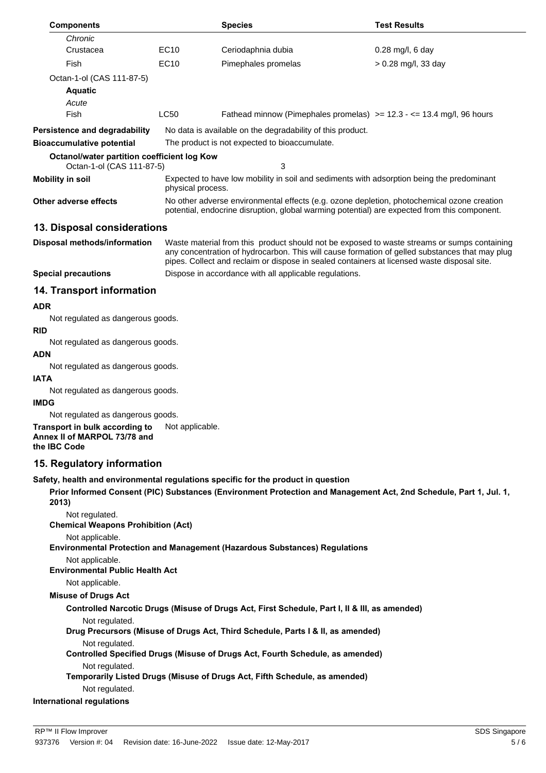| <b>Components</b>                                                                                                                                                                                                          |                                                                                                                                                                                                                                                                                              | <b>Species</b>                                                                                | <b>Test Results</b>                                                                                               |  |  |
|----------------------------------------------------------------------------------------------------------------------------------------------------------------------------------------------------------------------------|----------------------------------------------------------------------------------------------------------------------------------------------------------------------------------------------------------------------------------------------------------------------------------------------|-----------------------------------------------------------------------------------------------|-------------------------------------------------------------------------------------------------------------------|--|--|
| Chronic                                                                                                                                                                                                                    |                                                                                                                                                                                                                                                                                              |                                                                                               |                                                                                                                   |  |  |
| Crustacea                                                                                                                                                                                                                  | <b>EC10</b>                                                                                                                                                                                                                                                                                  | Ceriodaphnia dubia                                                                            | 0.28 mg/l, 6 day                                                                                                  |  |  |
| Fish                                                                                                                                                                                                                       | <b>EC10</b>                                                                                                                                                                                                                                                                                  | Pimephales promelas                                                                           | $> 0.28$ mg/l, 33 day                                                                                             |  |  |
| Octan-1-ol (CAS 111-87-5)                                                                                                                                                                                                  |                                                                                                                                                                                                                                                                                              |                                                                                               |                                                                                                                   |  |  |
| <b>Aquatic</b>                                                                                                                                                                                                             |                                                                                                                                                                                                                                                                                              |                                                                                               |                                                                                                                   |  |  |
| Acute                                                                                                                                                                                                                      |                                                                                                                                                                                                                                                                                              |                                                                                               |                                                                                                                   |  |  |
| Fish                                                                                                                                                                                                                       | <b>LC50</b>                                                                                                                                                                                                                                                                                  |                                                                                               | Fathead minnow (Pimephales promelas) $>= 12.3 - 13.4$ mg/l, 96 hours                                              |  |  |
| Persistence and degradability                                                                                                                                                                                              |                                                                                                                                                                                                                                                                                              | No data is available on the degradability of this product.                                    |                                                                                                                   |  |  |
| <b>Bioaccumulative potential</b>                                                                                                                                                                                           | The product is not expected to bioaccumulate.                                                                                                                                                                                                                                                |                                                                                               |                                                                                                                   |  |  |
| <b>Octanol/water partition coefficient log Kow</b><br>Octan-1-ol (CAS 111-87-5)                                                                                                                                            |                                                                                                                                                                                                                                                                                              | 3                                                                                             |                                                                                                                   |  |  |
| <b>Mobility in soil</b>                                                                                                                                                                                                    | Expected to have low mobility in soil and sediments with adsorption being the predominant<br>physical process.                                                                                                                                                                               |                                                                                               |                                                                                                                   |  |  |
| No other adverse environmental effects (e.g. ozone depletion, photochemical ozone creation<br><b>Other adverse effects</b><br>potential, endocrine disruption, global warming potential) are expected from this component. |                                                                                                                                                                                                                                                                                              |                                                                                               |                                                                                                                   |  |  |
| 13. Disposal considerations                                                                                                                                                                                                |                                                                                                                                                                                                                                                                                              |                                                                                               |                                                                                                                   |  |  |
| Disposal methods/information                                                                                                                                                                                               | Waste material from this product should not be exposed to waste streams or sumps containing<br>any concentration of hydrocarbon. This will cause formation of gelled substances that may plug<br>pipes. Collect and reclaim or dispose in sealed containers at licensed waste disposal site. |                                                                                               |                                                                                                                   |  |  |
| <b>Special precautions</b>                                                                                                                                                                                                 |                                                                                                                                                                                                                                                                                              | Dispose in accordance with all applicable regulations.                                        |                                                                                                                   |  |  |
| 14. Transport information                                                                                                                                                                                                  |                                                                                                                                                                                                                                                                                              |                                                                                               |                                                                                                                   |  |  |
| <b>ADR</b>                                                                                                                                                                                                                 |                                                                                                                                                                                                                                                                                              |                                                                                               |                                                                                                                   |  |  |
| Not regulated as dangerous goods.                                                                                                                                                                                          |                                                                                                                                                                                                                                                                                              |                                                                                               |                                                                                                                   |  |  |
| RID                                                                                                                                                                                                                        |                                                                                                                                                                                                                                                                                              |                                                                                               |                                                                                                                   |  |  |
| Not regulated as dangerous goods.<br>ADN                                                                                                                                                                                   |                                                                                                                                                                                                                                                                                              |                                                                                               |                                                                                                                   |  |  |
| Not regulated as dangerous goods.                                                                                                                                                                                          |                                                                                                                                                                                                                                                                                              |                                                                                               |                                                                                                                   |  |  |
| <b>IATA</b>                                                                                                                                                                                                                |                                                                                                                                                                                                                                                                                              |                                                                                               |                                                                                                                   |  |  |
| Not regulated as dangerous goods.                                                                                                                                                                                          |                                                                                                                                                                                                                                                                                              |                                                                                               |                                                                                                                   |  |  |
| <b>IMDG</b>                                                                                                                                                                                                                |                                                                                                                                                                                                                                                                                              |                                                                                               |                                                                                                                   |  |  |
| Not regulated as dangerous goods.                                                                                                                                                                                          |                                                                                                                                                                                                                                                                                              |                                                                                               |                                                                                                                   |  |  |
| <b>Transport in bulk according to</b> Not applicable.<br>Annex II of MARPOL 73/78 and<br>the IBC Code                                                                                                                      |                                                                                                                                                                                                                                                                                              |                                                                                               |                                                                                                                   |  |  |
| 15. Regulatory information                                                                                                                                                                                                 |                                                                                                                                                                                                                                                                                              |                                                                                               |                                                                                                                   |  |  |
|                                                                                                                                                                                                                            |                                                                                                                                                                                                                                                                                              | Safety, health and environmental regulations specific for the product in question             |                                                                                                                   |  |  |
| 2013)                                                                                                                                                                                                                      |                                                                                                                                                                                                                                                                                              |                                                                                               | Prior Informed Consent (PIC) Substances (Environment Protection and Management Act, 2nd Schedule, Part 1, Jul. 1, |  |  |
| Not regulated.<br><b>Chemical Weapons Prohibition (Act)</b>                                                                                                                                                                |                                                                                                                                                                                                                                                                                              |                                                                                               |                                                                                                                   |  |  |
| Not applicable.                                                                                                                                                                                                            |                                                                                                                                                                                                                                                                                              | <b>Environmental Protection and Management (Hazardous Substances) Regulations</b>             |                                                                                                                   |  |  |
| Not applicable.<br><b>Environmental Public Health Act</b>                                                                                                                                                                  |                                                                                                                                                                                                                                                                                              |                                                                                               |                                                                                                                   |  |  |
| Not applicable.                                                                                                                                                                                                            |                                                                                                                                                                                                                                                                                              |                                                                                               |                                                                                                                   |  |  |
| <b>Misuse of Drugs Act</b>                                                                                                                                                                                                 |                                                                                                                                                                                                                                                                                              |                                                                                               |                                                                                                                   |  |  |
|                                                                                                                                                                                                                            |                                                                                                                                                                                                                                                                                              | Controlled Narcotic Drugs (Misuse of Drugs Act, First Schedule, Part I, II & III, as amended) |                                                                                                                   |  |  |
| Not regulated.                                                                                                                                                                                                             |                                                                                                                                                                                                                                                                                              | Drug Precursors (Misuse of Drugs Act, Third Schedule, Parts I & II, as amended)               |                                                                                                                   |  |  |
| Not regulated.                                                                                                                                                                                                             |                                                                                                                                                                                                                                                                                              |                                                                                               |                                                                                                                   |  |  |
| Not regulated.                                                                                                                                                                                                             |                                                                                                                                                                                                                                                                                              | Controlled Specified Drugs (Misuse of Drugs Act, Fourth Schedule, as amended)                 |                                                                                                                   |  |  |
|                                                                                                                                                                                                                            |                                                                                                                                                                                                                                                                                              | Temporarily Listed Drugs (Misuse of Drugs Act, Fifth Schedule, as amended)                    |                                                                                                                   |  |  |
| Not regulated.<br><b>International regulations</b>                                                                                                                                                                         |                                                                                                                                                                                                                                                                                              |                                                                                               |                                                                                                                   |  |  |
|                                                                                                                                                                                                                            |                                                                                                                                                                                                                                                                                              |                                                                                               |                                                                                                                   |  |  |
| <b>RP™ II Flow Improver</b>                                                                                                                                                                                                |                                                                                                                                                                                                                                                                                              |                                                                                               | SDS Singapore                                                                                                     |  |  |